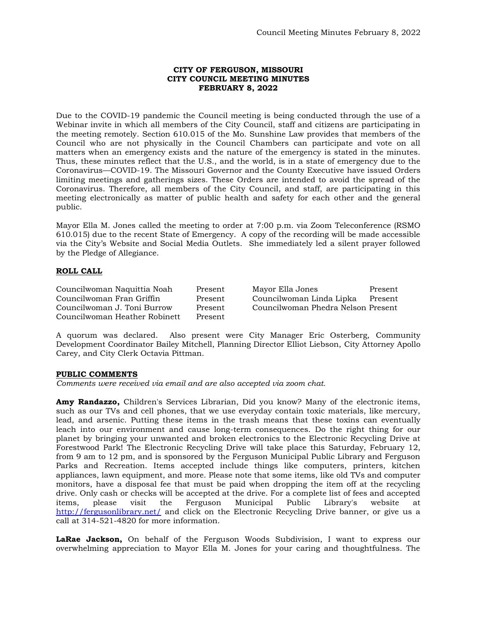# **CITY OF FERGUSON, MISSOURI CITY COUNCIL MEETING MINUTES FEBRUARY 8, 2022**

Due to the COVID-19 pandemic the Council meeting is being conducted through the use of a Webinar invite in which all members of the City Council, staff and citizens are participating in the meeting remotely. Section 610.015 of the Mo. Sunshine Law provides that members of the Council who are not physically in the Council Chambers can participate and vote on all matters when an emergency exists and the nature of the emergency is stated in the minutes. Thus, these minutes reflect that the U.S., and the world, is in a state of emergency due to the Coronavirus—COVID-19. The Missouri Governor and the County Executive have issued Orders limiting meetings and gatherings sizes. These Orders are intended to avoid the spread of the Coronavirus. Therefore, all members of the City Council, and staff, are participating in this meeting electronically as matter of public health and safety for each other and the general public.

Mayor Ella M. Jones called the meeting to order at 7:00 p.m. via Zoom Teleconference (RSMO 610.015) due to the recent State of Emergency. A copy of the recording will be made accessible via the City's Website and Social Media Outlets. She immediately led a silent prayer followed by the Pledge of Allegiance.

# **ROLL CALL**

Councilwoman Naquittia Noah Present Mayor Ella Jones Present Councilwoman Fran Griffin Present Councilwoman Linda Lipka Present Councilwoman J. Toni Burrow Present Councilwoman Phedra Nelson Present Councilwoman Heather Robinett Present

A quorum was declared. Also present were City Manager Eric Osterberg, Community Development Coordinator Bailey Mitchell, Planning Director Elliot Liebson, City Attorney Apollo Carey, and City Clerk Octavia Pittman.

# **PUBLIC COMMENTS**

*Comments were received via email and are also accepted via zoom chat.* 

**Amy Randazzo,** Children's Services Librarian, Did you know? Many of the electronic items, such as our TVs and cell phones, that we use everyday contain toxic materials, like mercury, lead, and arsenic. Putting these items in the trash means that these toxins can eventually leach into our environment and cause long-term consequences. Do the right thing for our planet by bringing your unwanted and broken electronics to the Electronic Recycling Drive at Forestwood Park! The Electronic Recycling Drive will take place this Saturday, February 12, from 9 am to 12 pm, and is sponsored by the Ferguson Municipal Public Library and Ferguson Parks and Recreation. Items accepted include things like computers, printers, kitchen appliances, lawn equipment, and more. Please note that some items, like old TVs and computer monitors, have a disposal fee that must be paid when dropping the item off at the recycling drive. Only cash or checks will be accepted at the drive. For a complete list of fees and accepted items, please visit the Ferguson Municipal Public Library's website at <http://fergusonlibrary.net/> and click on the Electronic Recycling Drive banner, or give us a call at 314-521-4820 for more information.

**LaRae Jackson,** On behalf of the Ferguson Woods Subdivision, I want to express our overwhelming appreciation to Mayor Ella M. Jones for your caring and thoughtfulness. The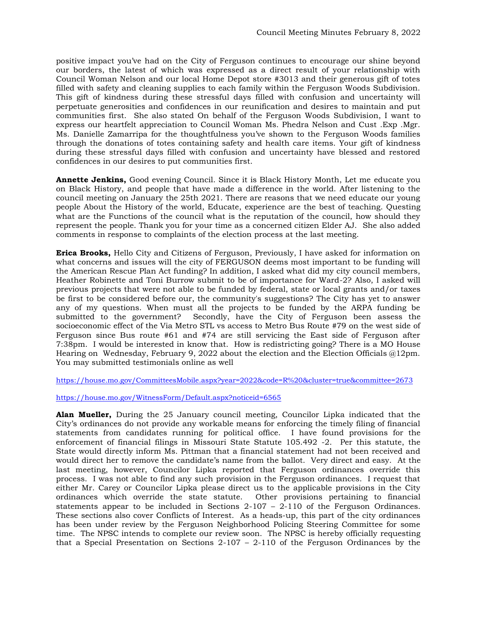positive impact you've had on the City of Ferguson continues to encourage our shine beyond our borders, the latest of which was expressed as a direct result of your relationship with Council Woman Nelson and our local Home Depot store #3013 and their generous gift of totes filled with safety and cleaning supplies to each family within the Ferguson Woods Subdivision. This gift of kindness during these stressful days filled with confusion and uncertainty will perpetuate generosities and confidences in our reunification and desires to maintain and put communities first. She also stated On behalf of the Ferguson Woods Subdivision, I want to express our heartfelt appreciation to Council Woman Ms. Phedra Nelson and Cust .Exp .Mgr. Ms. Danielle Zamarripa for the thoughtfulness you've shown to the Ferguson Woods families through the donations of totes containing safety and health care items. Your gift of kindness during these stressful days filled with confusion and uncertainty have blessed and restored confidences in our desires to put communities first.

**Annette Jenkins,** Good evening Council. Since it is Black History Month, Let me educate you on Black History, and people that have made a difference in the world. After listening to the council meeting on January the 25th 2021. There are reasons that we need educate our young people About the History of the world, Educate, experience are the best of teaching. Questing what are the Functions of the council what is the reputation of the council, how should they represent the people. Thank you for your time as a concerned citizen Elder AJ. She also added comments in response to complaints of the election process at the last meeting.

**Erica Brooks,** Hello City and Citizens of Ferguson, Previously, I have asked for information on what concerns and issues will the city of FERGUSON deems most important to be funding will the American Rescue Plan Act funding? In addition, I asked what did my city council members, Heather Robinette and Toni Burrow submit to be of importance for Ward-2? Also, I asked will previous projects that were not able to be funded by federal, state or local grants and/or taxes be first to be considered before our, the community's suggestions? The City has yet to answer any of my questions. When must all the projects to be funded by the ARPA funding be submitted to the government? Secondly, have the City of Ferguson been assess the socioeconomic effect of the Via Metro STL vs access to Metro Bus Route #79 on the west side of Ferguson since Bus route #61 and #74 are still servicing the East side of Ferguson after 7:38pm. I would be interested in know that. How is redistricting going? There is a MO House Hearing on Wednesday, February 9, 2022 about the election and the Election Officials @12pm. You may submitted testimonials online as well

<https://house.mo.gov/CommitteesMobile.aspx?year=2022&code=R%20&cluster=true&committee=2673>

<https://house.mo.gov/WitnessForm/Default.aspx?noticeid=6565>

**Alan Mueller,** During the 25 January council meeting, Councilor Lipka indicated that the City's ordinances do not provide any workable means for enforcing the timely filing of financial statements from candidates running for political office. I have found provisions for the enforcement of financial filings in Missouri State Statute 105.492 -2. Per this statute, the State would directly inform Ms. Pittman that a financial statement had not been received and would direct her to remove the candidate's name from the ballot. Very direct and easy. At the last meeting, however, Councilor Lipka reported that Ferguson ordinances override this process. I was not able to find any such provision in the Ferguson ordinances. I request that either Mr. Carey or Councilor Lipka please direct us to the applicable provisions in the City ordinances which override the state statute. Other provisions pertaining to financial ordinances which override the state statute. statements appear to be included in Sections  $2-107 - 2-110$  of the Ferguson Ordinances. These sections also cover Conflicts of Interest. As a heads-up, this part of the city ordinances has been under review by the Ferguson Neighborhood Policing Steering Committee for some time. The NPSC intends to complete our review soon. The NPSC is hereby officially requesting that a Special Presentation on Sections 2-107 – 2-110 of the Ferguson Ordinances by the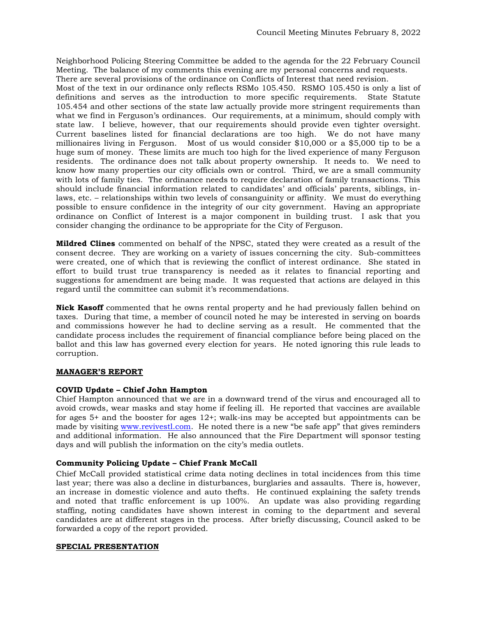Neighborhood Policing Steering Committee be added to the agenda for the 22 February Council Meeting. The balance of my comments this evening are my personal concerns and requests.

There are several provisions of the ordinance on Conflicts of Interest that need revision.

Most of the text in our ordinance only reflects RSMo 105.450. RSMO 105.450 is only a list of definitions and serves as the introduction to more specific requirements. State Statute 105.454 and other sections of the state law actually provide more stringent requirements than what we find in Ferguson's ordinances. Our requirements, at a minimum, should comply with state law. I believe, however, that our requirements should provide even tighter oversight. Current baselines listed for financial declarations are too high. We do not have many millionaires living in Ferguson. Most of us would consider \$10,000 or a \$5,000 tip to be a huge sum of money. These limits are much too high for the lived experience of many Ferguson residents. The ordinance does not talk about property ownership. It needs to. We need to know how many properties our city officials own or control. Third, we are a small community with lots of family ties. The ordinance needs to require declaration of family transactions. This should include financial information related to candidates' and officials' parents, siblings, inlaws, etc. – relationships within two levels of consanguinity or affinity. We must do everything possible to ensure confidence in the integrity of our city government. Having an appropriate ordinance on Conflict of Interest is a major component in building trust. I ask that you consider changing the ordinance to be appropriate for the City of Ferguson.

**Mildred Clines** commented on behalf of the NPSC, stated they were created as a result of the consent decree. They are working on a variety of issues concerning the city. Sub-committees were created, one of which that is reviewing the conflict of interest ordinance. She stated in effort to build trust true transparency is needed as it relates to financial reporting and suggestions for amendment are being made. It was requested that actions are delayed in this regard until the committee can submit it's recommendations.

**Nick Kasoff** commented that he owns rental property and he had previously fallen behind on taxes. During that time, a member of council noted he may be interested in serving on boards and commissions however he had to decline serving as a result. He commented that the candidate process includes the requirement of financial compliance before being placed on the ballot and this law has governed every election for years. He noted ignoring this rule leads to corruption.

# **MANAGER'S REPORT**

# **COVID Update – Chief John Hampton**

Chief Hampton announced that we are in a downward trend of the virus and encouraged all to avoid crowds, wear masks and stay home if feeling ill. He reported that vaccines are available for ages 5+ and the booster for ages 12+; walk-ins may be accepted but appointments can be made by visiting [www.revivestl.com.](http://www.revivestl.com/) He noted there is a new "be safe app" that gives reminders and additional information. He also announced that the Fire Department will sponsor testing days and will publish the information on the city's media outlets.

# **Community Policing Update – Chief Frank McCall**

Chief McCall provided statistical crime data noting declines in total incidences from this time last year; there was also a decline in disturbances, burglaries and assaults. There is, however, an increase in domestic violence and auto thefts. He continued explaining the safety trends and noted that traffic enforcement is up 100%. An update was also providing regarding staffing, noting candidates have shown interest in coming to the department and several candidates are at different stages in the process. After briefly discussing, Council asked to be forwarded a copy of the report provided.

# **SPECIAL PRESENTATION**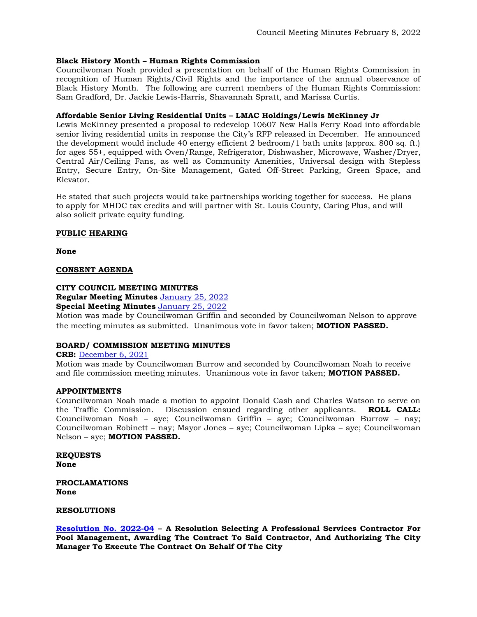# **Black History Month – Human Rights Commission**

Councilwoman Noah provided a presentation on behalf of the Human Rights Commission in recognition of Human Rights/Civil Rights and the importance of the annual observance of Black History Month. The following are current members of the Human Rights Commission: Sam Gradford, Dr. Jackie Lewis-Harris, Shavannah Spratt, and Marissa Curtis.

# **Affordable Senior Living Residential Units – LMAC Holdings/Lewis McKinney Jr**

Lewis McKinney presented a proposal to redevelop 10607 New Halls Ferry Road into affordable senior living residential units in response the City's RFP released in December. He announced the development would include 40 energy efficient 2 bedroom/1 bath units (approx. 800 sq. ft.) for ages 55+, equipped with Oven/Range, Refrigerator, Dishwasher, Microwave, Washer/Dryer, Central Air/Ceiling Fans, as well as Community Amenities, Universal design with Stepless Entry, Secure Entry, On-Site Management, Gated Off-Street Parking, Green Space, and Elevator.

He stated that such projects would take partnerships working together for success. He plans to apply for MHDC tax credits and will partner with St. Louis County, Caring Plus, and will also solicit private equity funding.

# **PUBLIC HEARING**

**None**

# **CONSENT AGENDA**

# **CITY COUNCIL MEETING MINUTES**

**Regular Meeting Minutes** [January 25, 2022](https://www.fergusoncity.com/DocumentCenter/View/5573/Council-Meeting-Minutes-012522) **Special Meeting Minutes** [January 25, 2022](https://www.fergusoncity.com/DocumentCenter/View/5571/Council-special-meeting-minutes-012522)

Motion was made by Councilwoman Griffin and seconded by Councilwoman Nelson to approve the meeting minutes as submitted. Unanimous vote in favor taken; **MOTION PASSED.** 

# **BOARD/ COMMISSION MEETING MINUTES**

# **CRB:** [December 6, 2021](https://www.fergusoncity.com/DocumentCenter/View/5572/FCRB-Open-Meeting-Minutes-12062021)

Motion was made by Councilwoman Burrow and seconded by Councilwoman Noah to receive and file commission meeting minutes. Unanimous vote in favor taken; **MOTION PASSED.** 

# **APPOINTMENTS**

Councilwoman Noah made a motion to appoint Donald Cash and Charles Watson to serve on the Traffic Commission. Discussion ensued regarding other applicants. **ROLL CALL:**  Councilwoman Noah – aye; Councilwoman Griffin – aye; Councilwoman Burrow – nay; Councilwoman Robinett – nay; Mayor Jones – aye; Councilwoman Lipka – aye; Councilwoman Nelson – aye; **MOTION PASSED.** 

**REQUESTS None** 

**PROCLAMATIONS None**

# **RESOLUTIONS**

**[Resolution No. 2022-04](https://www.fergusoncity.com/DocumentCenter/View/5566/Resolution-No-2022-04-Pool-Mgt) – A Resolution Selecting A Professional Services Contractor For Pool Management, Awarding The Contract To Said Contractor, And Authorizing The City Manager To Execute The Contract On Behalf Of The City**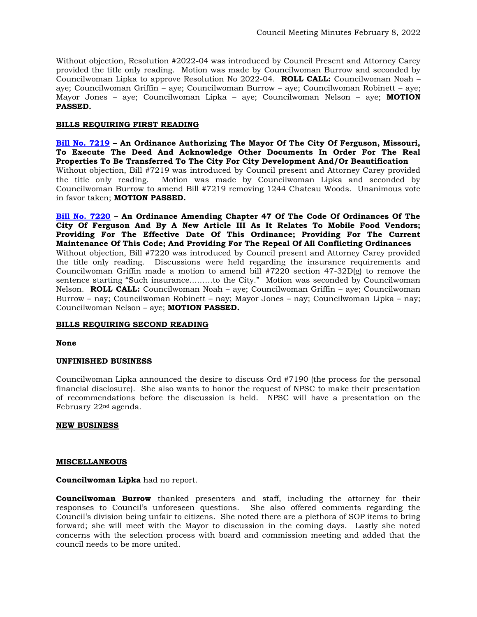Without objection, Resolution #2022-04 was introduced by Council Present and Attorney Carey provided the title only reading. Motion was made by Councilwoman Burrow and seconded by Councilwoman Lipka to approve Resolution No 2022-04. **ROLL CALL:** Councilwoman Noah – aye; Councilwoman Griffin – aye; Councilwoman Burrow – aye; Councilwoman Robinett – aye; Mayor Jones – aye; Councilwoman Lipka – aye; Councilwoman Nelson – aye; **MOTION PASSED.**

# **BILLS REQUIRING FIRST READING**

**[Bill No. 7219](https://www.fergusoncity.com/DocumentCenter/View/5569/Bill-No-7221-2022-xxxx-Post-third-Property-Acquisition-Ordinance) – An Ordinance Authorizing The Mayor Of The City Of Ferguson, Missouri, To Execute The Deed And Acknowledge Other Documents In Order For The Real Properties To Be Transferred To The City For City Development And/Or Beautification** Without objection, Bill #7219 was introduced by Council present and Attorney Carey provided the title only reading. Motion was made by Councilwoman Lipka and seconded by Councilwoman Burrow to amend Bill #7219 removing 1244 Chateau Woods. Unanimous vote in favor taken; **MOTION PASSED.** 

**[Bill No. 7220](https://www.fergusoncity.com/DocumentCenter/View/5568/Bill-No-7220-2022-xxx-Mobile-Food-Truck-Permit) – An Ordinance Amending Chapter 47 Of The Code Of Ordinances Of The City Of Ferguson And By A New Article III As It Relates To Mobile Food Vendors; Providing For The Effective Date Of This Ordinance; Providing For The Current Maintenance Of This Code; And Providing For The Repeal Of All Conflicting Ordinances** Without objection, Bill #7220 was introduced by Council present and Attorney Carey provided the title only reading. Discussions were held regarding the insurance requirements and Councilwoman Griffin made a motion to amend bill  $\#7220$  section  $47-32D(g)$  to remove the sentence starting "Such insurance………to the City." Motion was seconded by Councilwoman Nelson. **ROLL CALL:** Councilwoman Noah – aye; Councilwoman Griffin – aye; Councilwoman Burrow – nay; Councilwoman Robinett – nay; Mayor Jones – nay; Councilwoman Lipka – nay; Councilwoman Nelson – aye; **MOTION PASSED.**

# **BILLS REQUIRING SECOND READING**

# **None**

# **UNFINISHED BUSINESS**

Councilwoman Lipka announced the desire to discuss Ord #7190 (the process for the personal financial disclosure). She also wants to honor the request of NPSC to make their presentation of recommendations before the discussion is held. NPSC will have a presentation on the February 22nd agenda.

# **NEW BUSINESS**

#### **MISCELLANEOUS**

**Councilwoman Lipka** had no report.

**Councilwoman Burrow** thanked presenters and staff, including the attorney for their responses to Council's unforeseen questions. She also offered comments regarding the Council's division being unfair to citizens. She noted there are a plethora of SOP items to bring forward; she will meet with the Mayor to discussion in the coming days. Lastly she noted concerns with the selection process with board and commission meeting and added that the council needs to be more united.